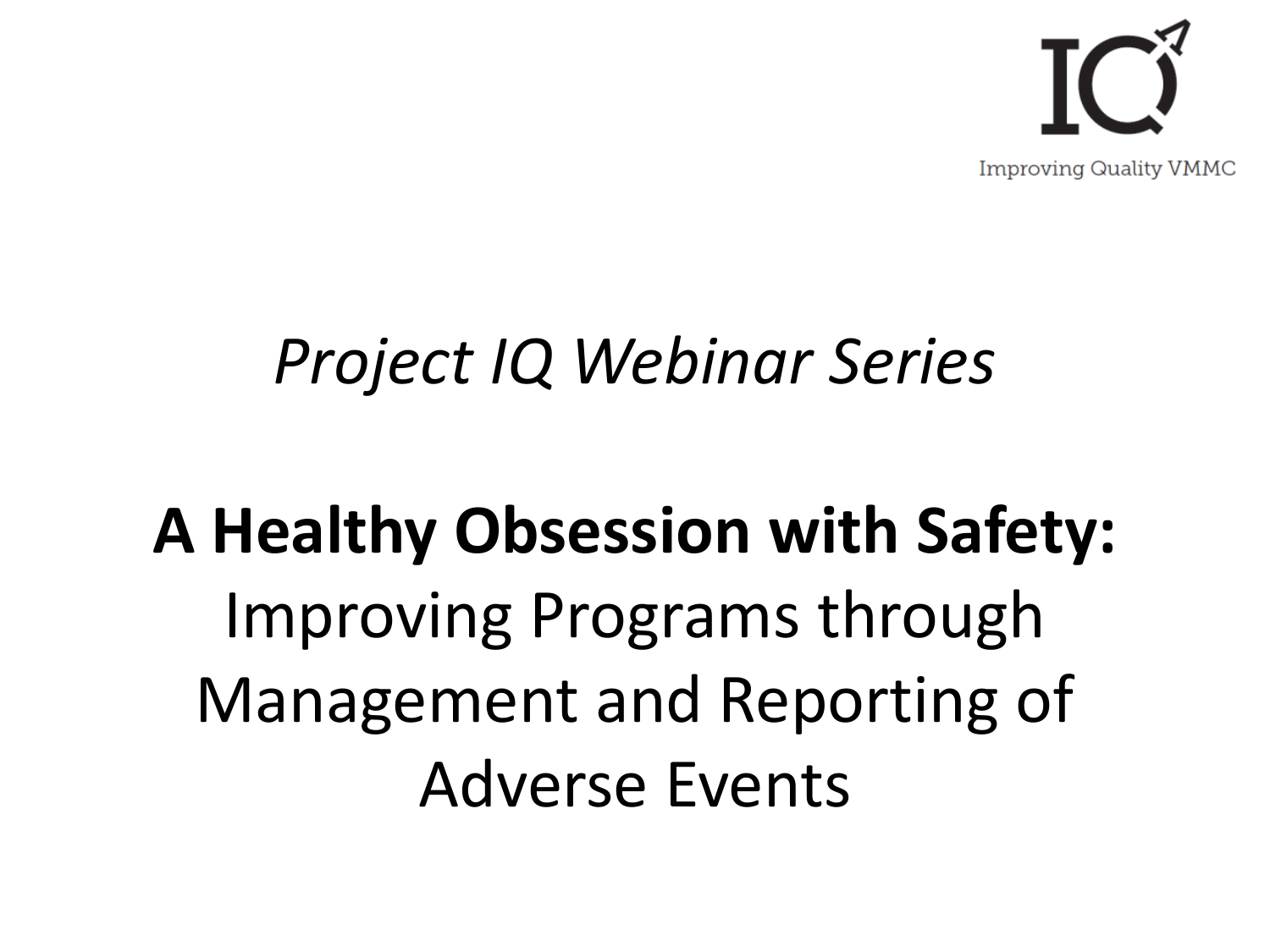

#### *Project IQ Webinar Series*

## **A Healthy Obsession with Safety:** Improving Programs through Management and Reporting of Adverse Events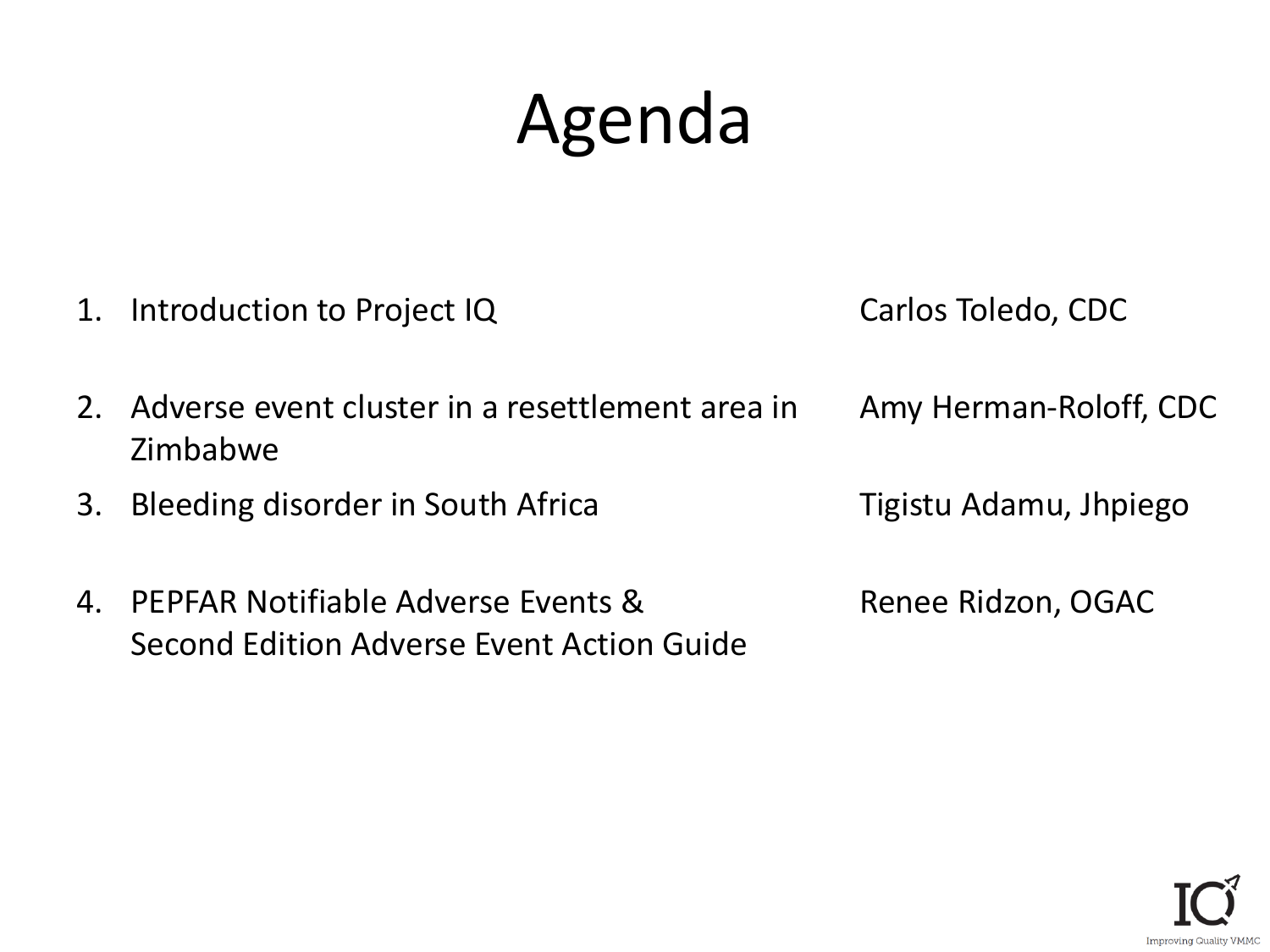## Agenda

1. Introduction to Project IQ Carlos Toledo, CDC

- 2. Adverse event cluster in a resettlement area in Zimbabwe
- 3. Bleeding disorder in South Africa Tigistu Adamu, Jhpiego
- 4. PEPFAR Notifiable Adverse Events & Second Edition Adverse Event Action Guide

Amy Herman-Roloff, CDC

Renee Ridzon, OGAC

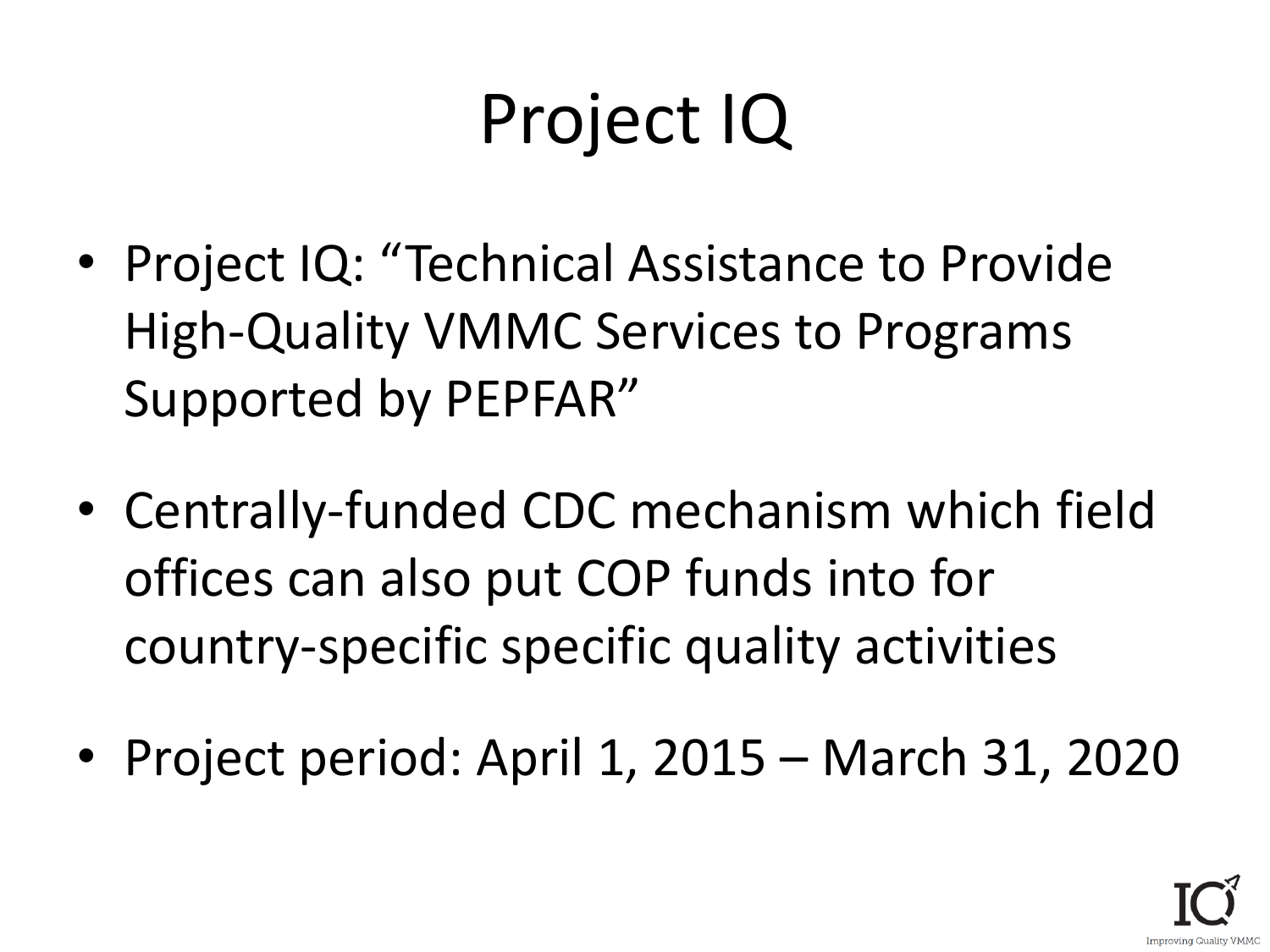## Project IQ

- Project IQ: "Technical Assistance to Provide High-Quality VMMC Services to Programs Supported by PEPFAR"
- Centrally-funded CDC mechanism which field offices can also put COP funds into for country-specific specific quality activities
- Project period: April 1, 2015 March 31, 2020

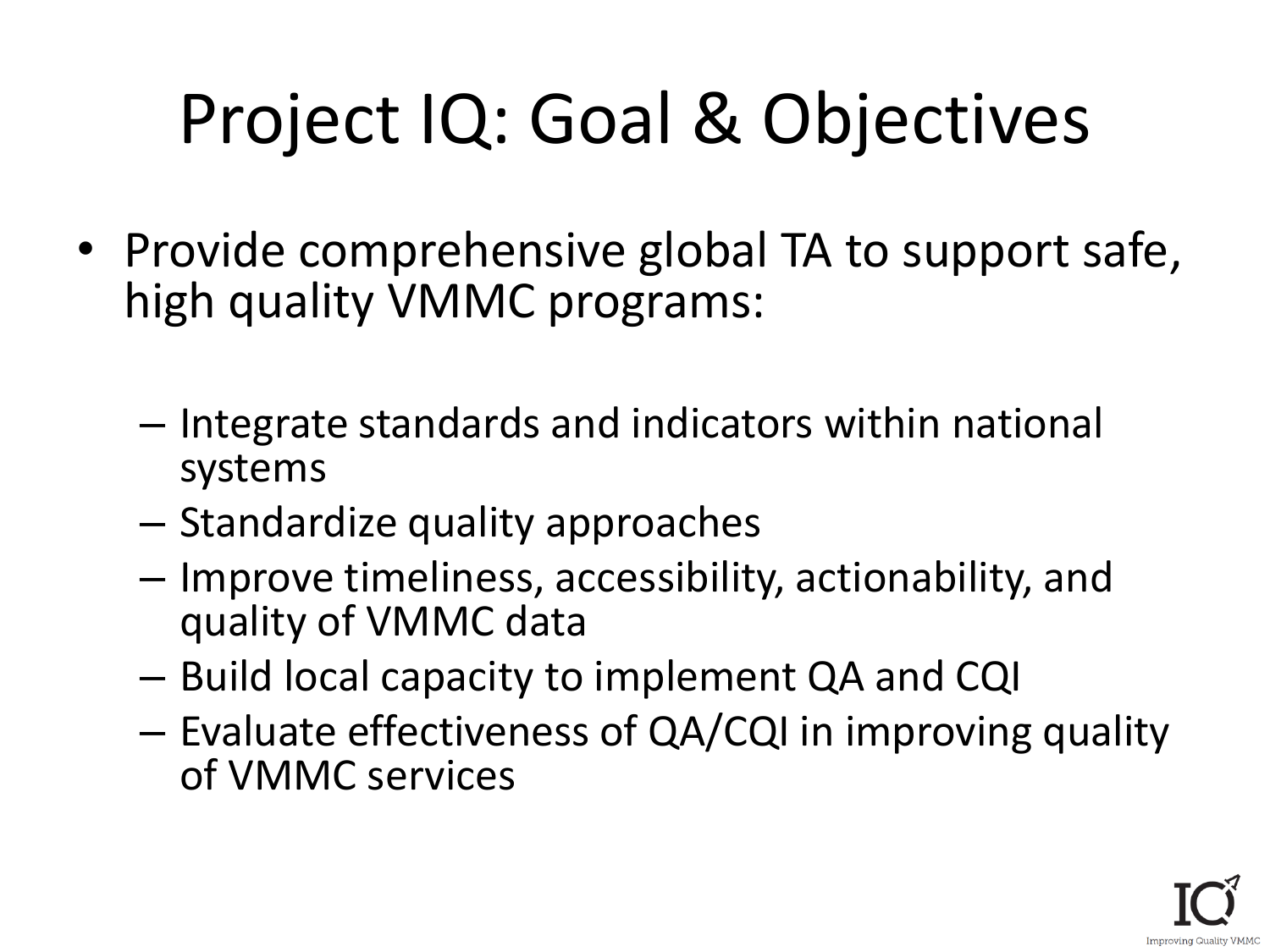## Project IQ: Goal & Objectives

- Provide comprehensive global TA to support safe, high quality VMMC programs:
	- Integrate standards and indicators within national systems
	- Standardize quality approaches
	- Improve timeliness, accessibility, actionability, and quality of VMMC data
	- Build local capacity to implement QA and CQI
	- Evaluate effectiveness of QA/CQI in improving quality of VMMC services

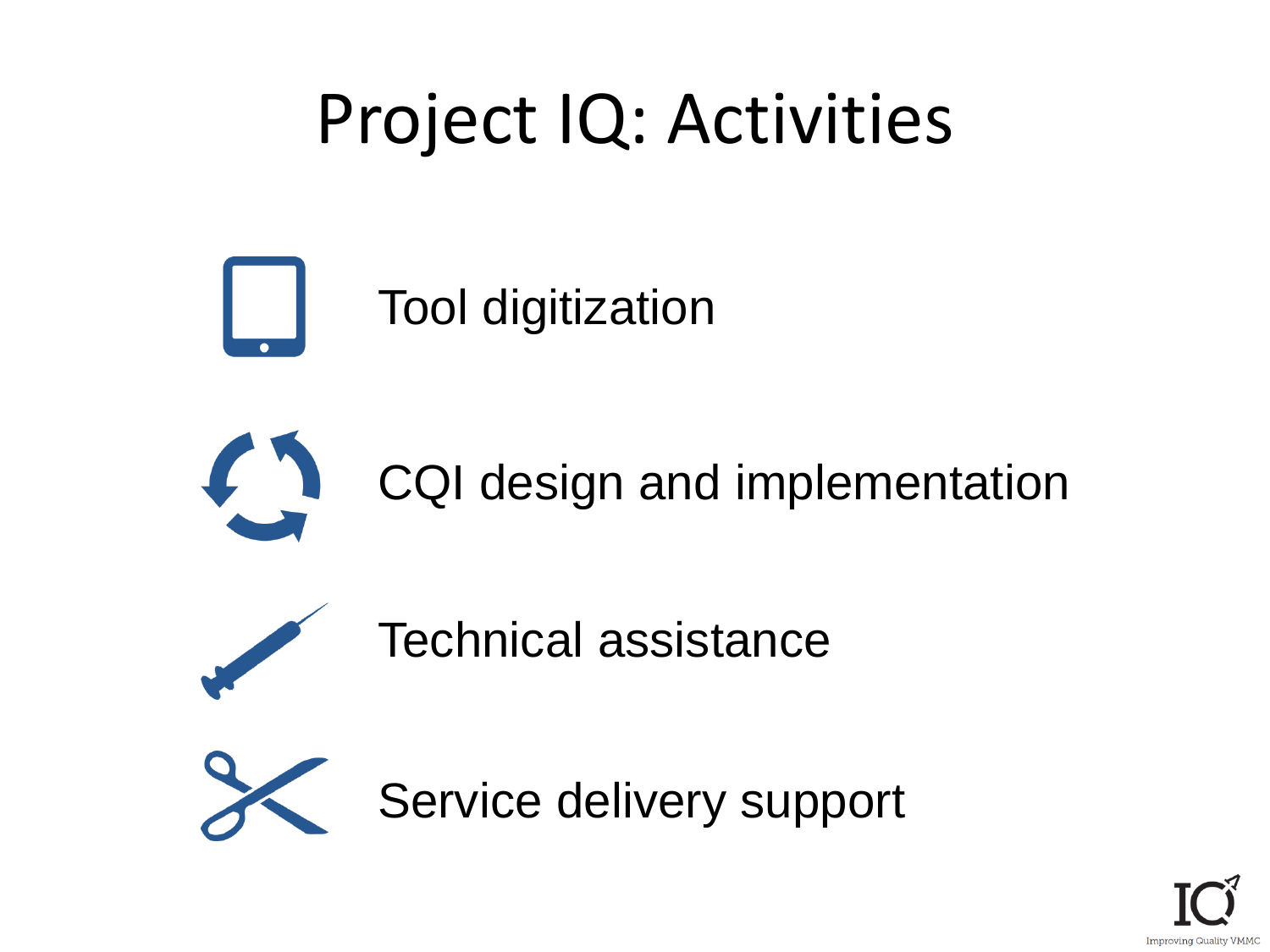### Project IQ: Activities





CQI design and implementation



Technical assistance



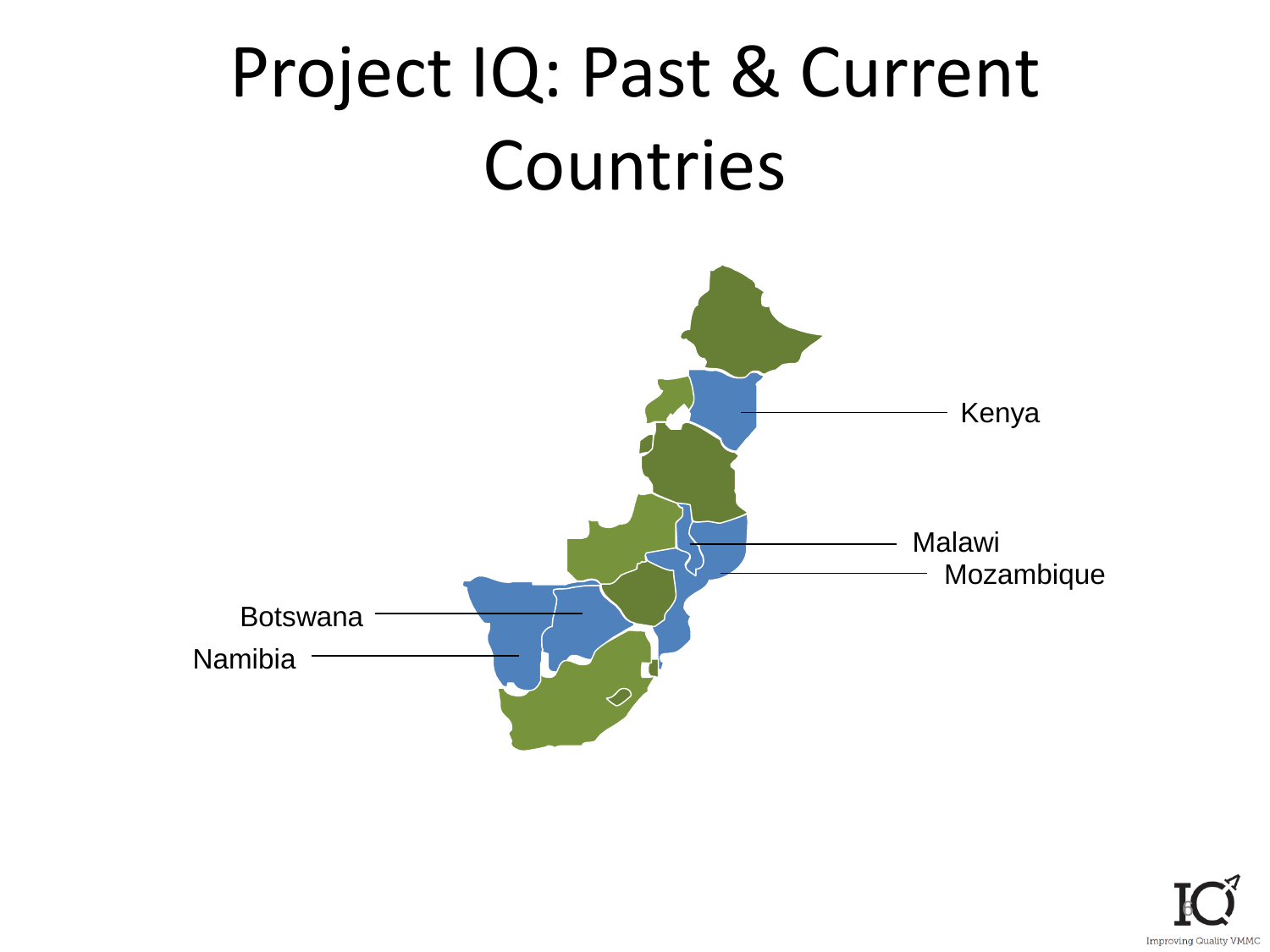

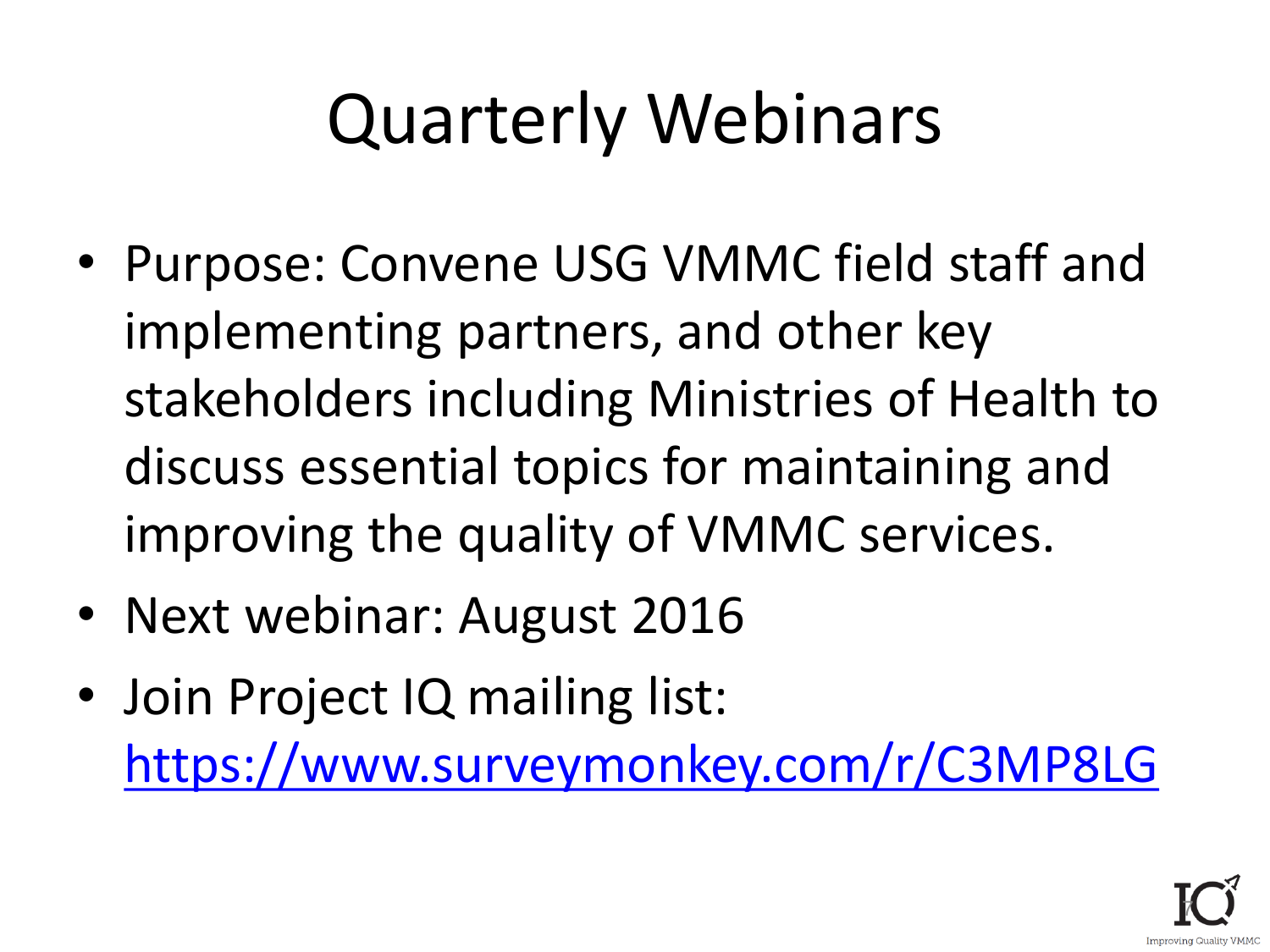## Quarterly Webinars

- Purpose: Convene USG VMMC field staff and implementing partners, and other key stakeholders including Ministries of Health to discuss essential topics for maintaining and improving the quality of VMMC services.
- Next webinar: August 2016
- Join Project IQ mailing list: <https://www.surveymonkey.com/r/C3MP8LG>